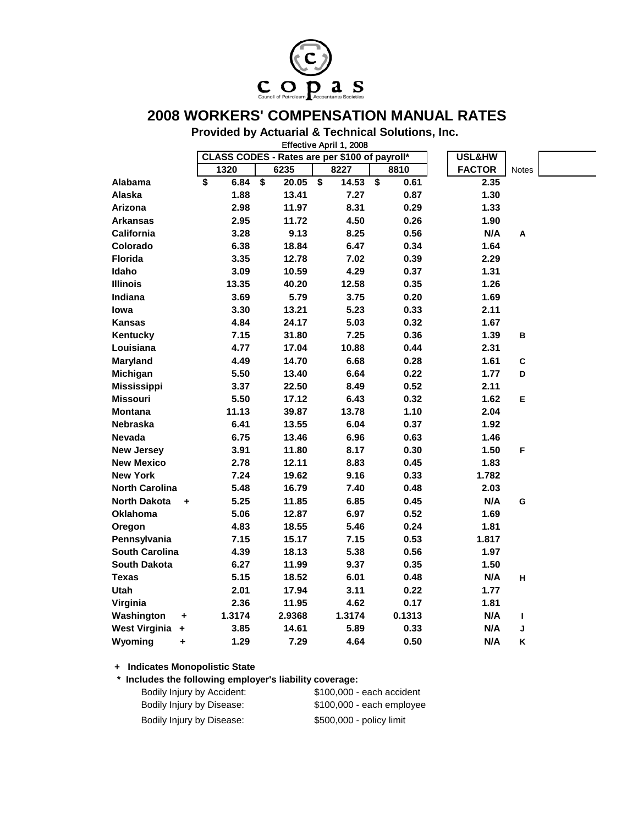

## **2008 WORKERS' COMPENSATION MANUAL RATES**

**Provided by Actuarial & Technical Solutions, Inc.**

|                           |            |                                               | Effective April 1, 2008 |            |               |       |  |
|---------------------------|------------|-----------------------------------------------|-------------------------|------------|---------------|-------|--|
|                           |            | CLASS CODES - Rates are per \$100 of payroll* | USL&HW                  |            |               |       |  |
|                           | 1320       | 6235                                          | 8227                    | 8810       | <b>FACTOR</b> | Notes |  |
| Alabama                   | \$<br>6.84 | $\overline{\bullet}$<br>20.05                 | \$<br>14.53             | \$<br>0.61 | 2.35          |       |  |
| Alaska                    | 1.88       | 13.41                                         | 7.27                    | 0.87       | 1.30          |       |  |
| Arizona                   | 2.98       | 11.97                                         | 8.31                    | 0.29       | 1.33          |       |  |
| Arkansas                  | 2.95       | 11.72                                         | 4.50                    | 0.26       | 1.90          |       |  |
| <b>California</b>         | 3.28       | 9.13                                          | 8.25                    | 0.56       | N/A           | A     |  |
| Colorado                  | 6.38       | 18.84                                         | 6.47                    | 0.34       | 1.64          |       |  |
| <b>Florida</b>            | 3.35       | 12.78                                         | 7.02                    | 0.39       | 2.29          |       |  |
| Idaho                     | 3.09       | 10.59                                         | 4.29                    | 0.37       | 1.31          |       |  |
| <b>Illinois</b>           | 13.35      | 40.20                                         | 12.58                   | 0.35       | 1.26          |       |  |
| Indiana                   | 3.69       | 5.79                                          | 3.75                    | 0.20       | 1.69          |       |  |
| lowa                      | 3.30       | 13.21                                         | 5.23                    | 0.33       | 2.11          |       |  |
| <b>Kansas</b>             | 4.84       | 24.17                                         | 5.03                    | 0.32       | 1.67          |       |  |
| Kentucky                  | 7.15       | 31.80                                         | 7.25                    | 0.36       | 1.39          | в     |  |
| Louisiana                 | 4.77       | 17.04                                         | 10.88                   | 0.44       | 2.31          |       |  |
| <b>Maryland</b>           | 4.49       | 14.70                                         | 6.68                    | 0.28       | 1.61          | C     |  |
| Michigan                  | 5.50       | 13.40                                         | 6.64                    | 0.22       | 1.77          | D     |  |
| <b>Mississippi</b>        | 3.37       | 22.50                                         | 8.49                    | 0.52       | 2.11          |       |  |
| <b>Missouri</b>           | 5.50       | 17.12                                         | 6.43                    | 0.32       | 1.62          | E     |  |
| <b>Montana</b>            | 11.13      | 39.87                                         | 13.78                   | 1.10       | 2.04          |       |  |
| Nebraska                  | 6.41       | 13.55                                         | 6.04                    | 0.37       | 1.92          |       |  |
| <b>Nevada</b>             | 6.75       | 13.46                                         | 6.96                    | 0.63       | 1.46          |       |  |
| <b>New Jersey</b>         | 3.91       | 11.80                                         | 8.17                    | 0.30       | 1.50          | F     |  |
| <b>New Mexico</b>         | 2.78       | 12.11                                         | 8.83                    | 0.45       | 1.83          |       |  |
| <b>New York</b>           | 7.24       | 19.62                                         | 9.16                    | 0.33       | 1.782         |       |  |
| <b>North Carolina</b>     | 5.48       | 16.79                                         | 7.40                    | 0.48       | 2.03          |       |  |
| <b>North Dakota</b><br>÷  | 5.25       | 11.85                                         | 6.85                    | 0.45       | N/A           | G     |  |
| <b>Oklahoma</b>           | 5.06       | 12.87                                         | 6.97                    | 0.52       | 1.69          |       |  |
| Oregon                    | 4.83       | 18.55                                         | 5.46                    | 0.24       | 1.81          |       |  |
| Pennsylvania              | 7.15       | 15.17                                         | 7.15                    | 0.53       | 1.817         |       |  |
| <b>South Carolina</b>     | 4.39       | 18.13                                         | 5.38                    | 0.56       | 1.97          |       |  |
| <b>South Dakota</b>       | 6.27       | 11.99                                         | 9.37                    | 0.35       | 1.50          |       |  |
| <b>Texas</b>              | 5.15       | 18.52                                         | 6.01                    | 0.48       | N/A           | н     |  |
| Utah                      | 2.01       | 17.94                                         | 3.11                    | 0.22       | 1.77          |       |  |
| Virginia                  | 2.36       | 11.95                                         | 4.62                    | 0.17       | 1.81          |       |  |
| Washington<br>÷           | 1.3174     | 2.9368                                        | 1.3174                  | 0.1313     | N/A           | г     |  |
| <b>West Virginia</b><br>٠ | 3.85       | 14.61                                         | 5.89                    | 0.33       | N/A           | J     |  |
| Wyoming<br>÷              | 1.29       | 7.29                                          | 4.64                    | 0.50       | N/A           | Κ     |  |

## **+ Indicates Monopolistic State**

| + Indicates Monopolistic State                          |                            |  |  |  |  |  |  |
|---------------------------------------------------------|----------------------------|--|--|--|--|--|--|
| * Includes the following employer's liability coverage: |                            |  |  |  |  |  |  |
| Bodily Injury by Accident:                              | \$100,000 - each accident  |  |  |  |  |  |  |
| Bodily Injury by Disease:                               | $$100,000$ - each employee |  |  |  |  |  |  |
| Bodily Injury by Disease:                               | \$500,000 - policy limit   |  |  |  |  |  |  |